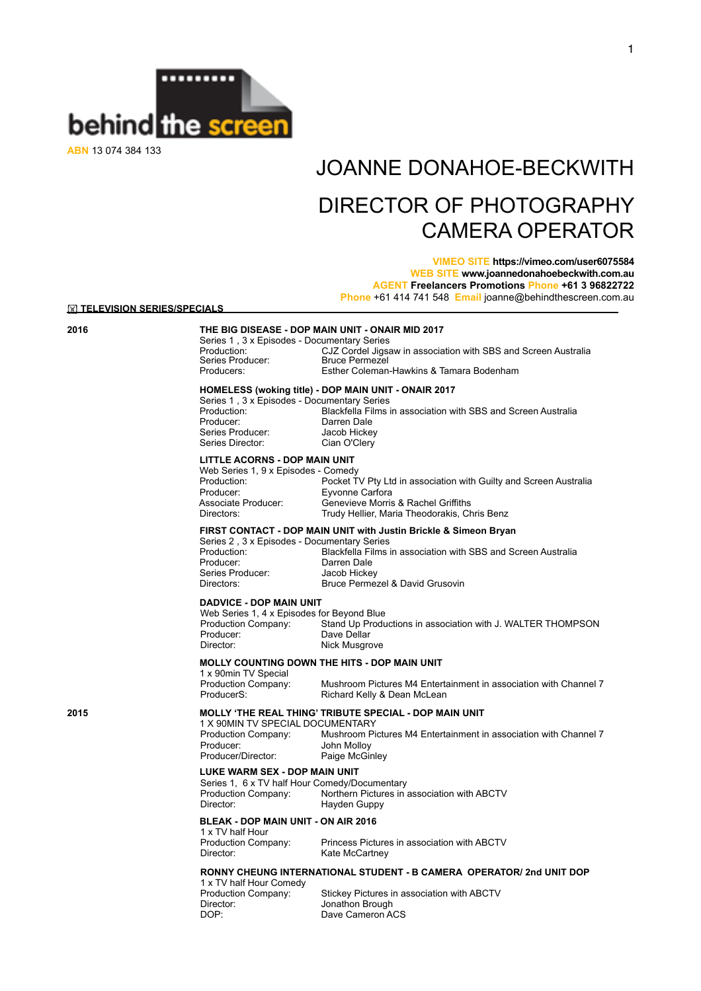

**ABN** 13 074 384 133

# JOANNE DONAHOE-BECKWITH DIRECTOR OF PHOTOGRAPHY CAMERA OPERATOR

## **VIMEO SITE https://vimeo.com/user6075584 WEB SITE www.joannedonahoebeckwith.com.au AGENT Freelancers Promotions Phone +61 3 96822722 Phone** +61 414 741 548 **Email** [joanne@behindthescreen.com.au](mailto:info@behindthescreen.com.au)

**IN TELEVISION SERIES/SPECIALS** 

## **2016 THE BIG DISEASE - DOP MAIN UNIT - ONAIR MID 2017**

Series 1, 3 x Episodes - Documentary Series<br>Production: CJZ Cordel Jigs CJZ Cordel Jigsaw in association with SBS and Screen Australia<br>Bruce Permezel Series Producer:<br>Producers: Esther Coleman-Hawkins & Tamara Bodenham

## **HOMELESS (woking title) - DOP MAIN UNIT - ONAIR 2017**

Series 1, 3 x Episodes - Documentary Series<br>Production: Blackfella Films i Series Producer: Jacob Hickey<br>Series Director: Cian O'Clerv Series Director:

Production:<br>
Blackfella Films in association with SBS and Screen Australia<br>
Producer: Darren Dale Darren Dale<br>Jacob Hickey

## **LITTLE ACORNS - DOP MAIN UNIT**

|                     | Web Series 1, 9 x Episodes - Comedy                               |  |
|---------------------|-------------------------------------------------------------------|--|
| Production:         | Pocket TV Pty Ltd in association with Guilty and Screen Australia |  |
| Producer:           | Evvonne Carfora                                                   |  |
| Associate Producer: | Genevieve Morris & Rachel Griffiths                               |  |
| Directors:          | Trudy Hellier, Maria Theodorakis, Chris Benz                      |  |
|                     |                                                                   |  |

## **FIRST CONTACT - DOP MAIN UNIT with Justin Brickle & Simeon Bryan**

| Series 2, 3 x Episodes - Documentary Series |                                                               |
|---------------------------------------------|---------------------------------------------------------------|
| Production:                                 | Blackfella Films in association with SBS and Screen Australia |
| Producer:                                   | Darren Dale                                                   |
| Series Producer:                            | Jacob Hickey                                                  |
| Directors:                                  | Bruce Permezel & David Grusovin                               |
|                                             |                                                               |

## **DADVICE - DOP MAIN UNIT**

| Web Series 1, 4 x Episodes for Beyond Blue |                                                             |
|--------------------------------------------|-------------------------------------------------------------|
| Production Company:                        | Stand Up Productions in association with J. WALTER THOMPSON |
| Producer:                                  | Dave Dellar                                                 |
| Director:                                  | Nick Musgrove                                               |
|                                            |                                                             |

Richard Kelly & Dean McLean

## **MOLLY COUNTING DOWN THE HITS - DOP MAIN UNIT**

 1 x 90min TV Special Production Company: Mushroom Pictures M4 Entertainment in association with Channel 7

## **2015 MOLLY 'THE REAL THING' TRIBUTE SPECIAL - DOP MAIN UNIT**

1 X 90MIN TV SPECIAL DOCUMENTARY<br>Production Company: Mushroom Pi Production Company: Mushroom Pictures M4 Entertainment in association with Channel 7 John Molloy<br>Paige McGinley Producer/Director:

### **LUKE WARM SEX - DOP MAIN UNIT**

Series 1, 6 x TV half Hour Comedy/Documentary<br>Production Company: Northern Pictures in Northern Pictures in association with ABCTV Director: Hayden Guppy

## **BLEAK - DOP MAIN UNIT - ON AIR 2016**

| 1 x TV half Hour    |                                             |
|---------------------|---------------------------------------------|
| Production Company: | Princess Pictures in association with ABCTV |
| Director:           | Kate McCartney                              |

## **RONNY CHEUNG INTERNATIONAL STUDENT - B CAMERA OPERATOR/ 2nd UNIT DOP**

1 x TV half Hour Comedy<br>Production Company: Director: Jonathon Brough<br>
DOP: Dave Cameron A

Stickey Pictures in association with ABCTV Dave Cameron ACS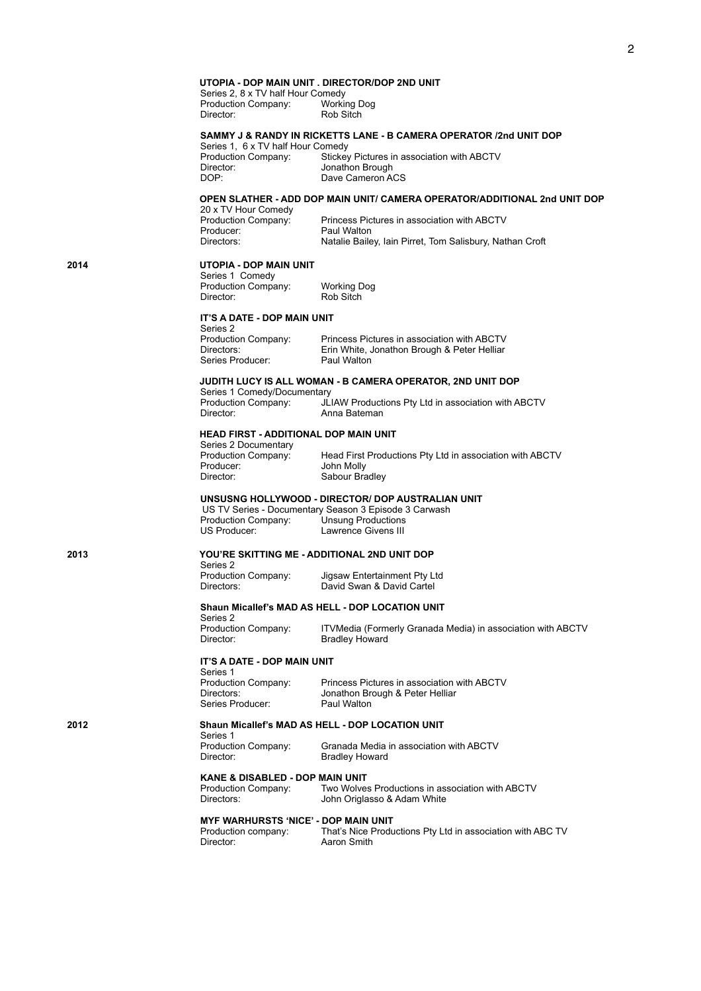## **UTOPIA - DOP MAIN UNIT . DIRECTOR/DOP 2ND UNIT**

Series 2, 8 x TV half Hour Comedy<br>Production Company: Working Dog Production Company:<br>Director: Rob Sitch

## **SAMMY J & RANDY IN RICKETTS LANE - B CAMERA OPERATOR /2nd UNIT DOP**

Series 1, 6 x TV half Hour Comedy<br>Production Company: Stickey Production Company: Stickey Pictures in association with ABCTV Director: Jonathon Brough<br>
DOP: Dave Cameron A Dave Cameron ACS

## **OPEN SLATHER - ADD DOP MAIN UNIT/ CAMERA OPERATOR/ADDITIONAL 2nd UNIT DOP**

20 x TV Hour Comedy<br>Production Company: Producer: Paul Walton<br>Directors: Natalie Bail

Production Company: Princess Pictures in association with ABCTV<br>Producer: Paul Walton Natalie Bailey, Iain Pirret, Tom Salisbury, Nathan Croft

## **2014 UTOPIA - DOP MAIN UNIT**

Series 1 Comedy Production Company: Working Dog<br>Director: Rob Sitch

### **IT'S A DATE - DOP MAIN UNIT**  Series 2

| -------             |                                             |
|---------------------|---------------------------------------------|
| Production Company: | Princess Pictures in association with ABCTV |
| Directors:          | Erin White, Jonathon Brough & Peter Helliar |
| Series Producer:    | Paul Walton                                 |
|                     |                                             |

Rob Sitch

## **JUDITH LUCY IS ALL WOMAN - B CAMERA OPERATOR, 2ND UNIT DOP**

Series 1 Comedy/Documentary<br>Production Company: JL Production Company: JLIAW Productions Pty Ltd in association with ABCTV Anna Bateman

### **HEAD FIRST - ADDITIONAL DOP MAIN UNIT**

Series 2 Documentary<br>Production Company: Production Company: Head First Productions Pty Ltd in association with ABCTV<br>Producer: John Molly Producer: John Molly<br>Director: Sabour Bra Sabour Bradley

## **UNSUSNG HOLLYWOOD - DIRECTOR/ DOP AUSTRALIAN UNIT**

 US TV Series - Documentary Season 3 Episode 3 Carwash Production Company: Unsung Productions US Producer: Lawrence Givens III

## **2013 YOU'RE SKITTING ME - ADDITIONAL 2ND UNIT DOP**

Series 2<br>Production Company:

Production Company: Jigsaw Entertainment Pty Ltd David Swan & David Cartel

### **Shaun Micallef's MAD AS HELL - DOP LOCATION UNIT**

Series 2<br>Production Company: Production Company: ITVMedia (Formerly Granada Media) in association with ABCTV Bradley Howard

## **IT'S A DATE - DOP MAIN UNIT**

Series 1 Series Producer:

Production Company: Princess Pictures in association with ABCTV<br>Directors: Jonathon Brough & Peter Helliar Jonathon Brough & Peter Helliar<br>Paul Walton

## **2012 Shaun Micallef's MAD AS HELL - DOP LOCATION UNIT**

Series 1<br>Production Company:

Production Company: Granada Media in association with ABCTV **Bradley Howard** 

## **KANE & DISABLED - DOP MAIN UNIT**

Production Company: Two Wolves Productions in association with ABCTV Directors: John Origlasso & Adam White

**MYF WARHURSTS 'NICE' - DOP MAIN UNIT**

| Production company: | That's Nice Productions Pty Ltd in association with ABC TV |
|---------------------|------------------------------------------------------------|
| Director:           | Aaron Smith                                                |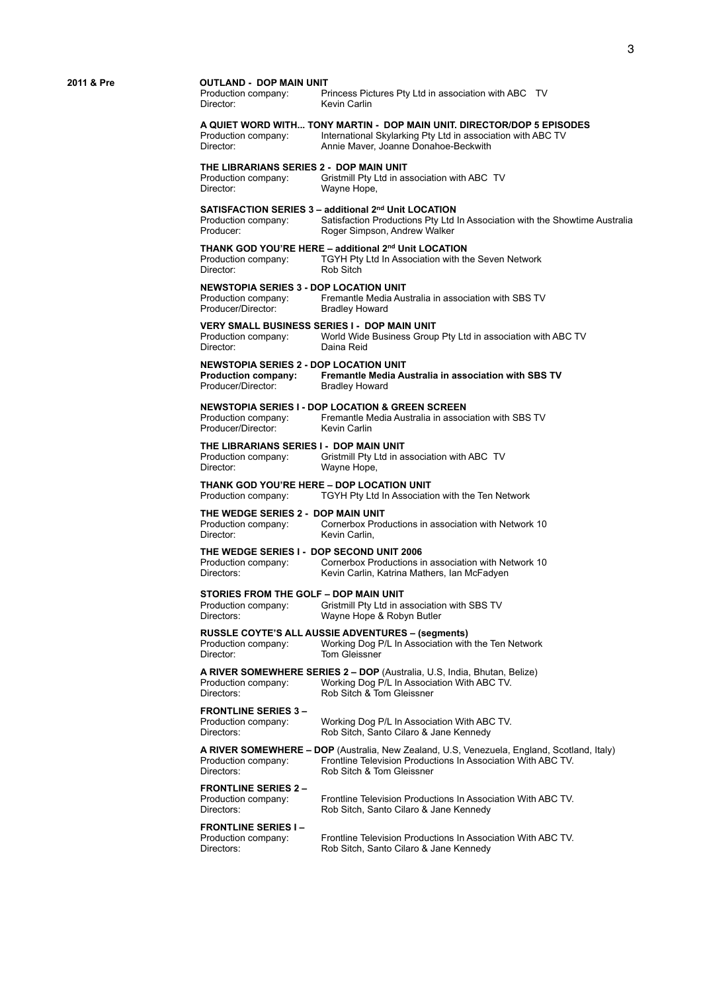## **2011 & Pre COUTLAND - DOP MAIN UNIT**<br>Production company: P

Princess Pictures Pty Ltd in association with ABC TV Director: Kevin Carlin

## **A QUIET WORD WITH... TONY MARTIN - DOP MAIN UNIT. DIRECTOR/DOP 5 EPISODES**

Production company: International Skylarking Pty Ltd in association with ABC TV<br>Director: Annie Maver. Joanne Donahoe-Beckwith Annie Maver, Joanne Donahoe-Beckwith

## **THE LIBRARIANS SERIES 2 - DOP MAIN UNIT**<br>Production company: Gristmill Pty Ltd in as

Production company: Gristmill Pty Ltd in association with ABC TV<br>Director: Wayne Hope Wayne Hope,

## **SATISFACTION SERIES 3 – additional 2nd Unit LOCATION**

Production company: Satisfaction Productions Pty Ltd In Association with the Showtime Australia Roger Simpson, Andrew Walker

**THANK GOD YOU'RE HERE – additional 2<sup>nd</sup> Unit LOCATION**<br>Production company: TGYH Pty Ltd In Association with th TGYH Pty Ltd In Association with the Seven Network Director: Rob Sitch

## **NEWSTOPIA SERIES 3 - DOP LOCATION UNIT**<br>Production company: Fremantle Media Aus

Fremantle Media Australia in association with SBS TV<br>Bradley Howard Producer/Director:

## **VERY SMALL BUSINESS SERIES I - DOP MAIN UNIT**<br>Production company: World Wide Business Group

Production company: World Wide Business Group Pty Ltd in association with ABC TV<br>Director: Daina Reid Daina Reid

## **NEWSTOPIA SERIES 2 - DOP LOCATION UNIT**

**Production company: Fremantle Media Australia in association with SBS TV**  Producer/Director:

### **NEWSTOPIA SERIES I - DOP LOCATION & GREEN SCREEN** Fremantle Media Australia in association with SBS TV

Producer/Director: Kevin Carlin

**FRONTLINE SERIES 3 –**

## **THE LIBRARIANS SERIES I - DOP MAIN UNIT**<br>Production company: Gristmill Pty Ltd in as

Production company: Gristmill Pty Ltd in association with ABC TV<br>Director: Wayne Hope Wayne Hope

## **THANK GOD YOU'RE HERE – DOP LOCATION UNIT**<br>Production company: TGYH Pty Ltd In Association

TGYH Pty Ltd In Association with the Ten Network

**THE WEDGE SERIES 2 - DOP MAIN UNIT** Production company: Cornerbox Productions in association with Network 10 Director: Kevin Carlin,

### **THE WEDGE SERIES I - DOP SECOND UNIT 2006**

Production company: Cornerbox Productions in association with Network 10 Directors: Kevin Carlin, Katrina Mathers, Ian McFadyen

## **STORIES FROM THE GOLF – DOP MAIN UNIT**<br>Production company: Gristmill Pty Ltd in a

Gristmill Pty Ltd in association with SBS TV Directors: Wayne Hope & Robyn Butler

### **RUSSLE COYTE'S ALL AUSSIE ADVENTURES – (segments)**

Production company: Working Dog P/L In Association with the Ten Network Director: Tom Gleissner

**A RIVER SOMEWHERE SERIES 2 – DOP** (Australia, U.S, India, Bhutan, Belize) Production company: Working Dog P/L In Association With ABC TV. Directors: Rob Sitch & Tom Gleissner

Production company: Working Dog P/L In Association With ABC TV. Directors: Rob Sitch, Santo Cilaro & Jane Kennedy

**A RIVER SOMEWHERE – DOP** (Australia, New Zealand, U.S, Venezuela, England, Scotland, Italy) Production company: Frontline Television Productions In Association With ABC TV. Directors: Rob Sitch & Tom Gleissner

**FRONTLINE SERIES 2 –** Production company: Frontline Television Productions In Association With ABC TV. Directors: Rob Sitch, Santo Cilaro & Jane Kennedy

**FRONTLINE SERIES I –** Production company: Frontline Television Productions In Association With ABC TV. Directors: Rob Sitch, Santo Cilaro & Jane Kennedy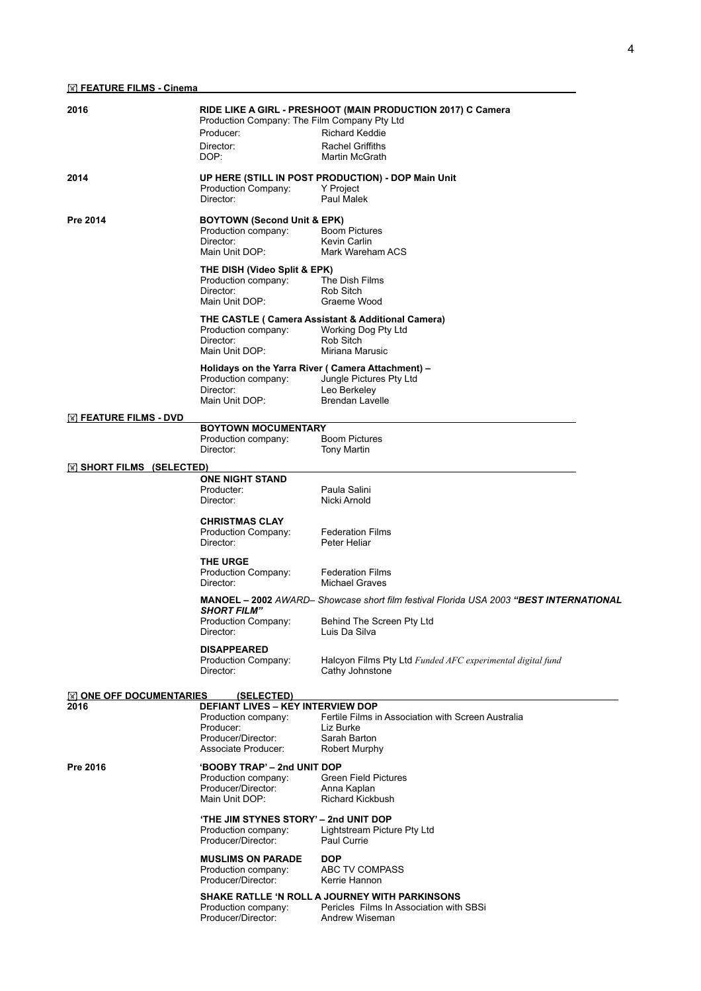| 2016                                |                                                                 | RIDE LIKE A GIRL - PRESHOOT (MAIN PRODUCTION 2017) C Camera                            |
|-------------------------------------|-----------------------------------------------------------------|----------------------------------------------------------------------------------------|
|                                     | Production Company: The Film Company Pty Ltd<br>Producer:       | <b>Richard Keddie</b>                                                                  |
|                                     | Director:                                                       | <b>Rachel Griffiths</b>                                                                |
|                                     | DOP:                                                            | Martin McGrath                                                                         |
| 2014                                |                                                                 | UP HERE (STILL IN POST PRODUCTION) - DOP Main Unit                                     |
|                                     | Production Company:<br>Director:                                | Y Project<br>Paul Malek                                                                |
| Pre 2014                            | <b>BOYTOWN (Second Unit &amp; EPK)</b>                          |                                                                                        |
|                                     | Production company:                                             | <b>Boom Pictures</b>                                                                   |
|                                     | Director:<br>Main Unit DOP:                                     | Kevin Carlin<br>Mark Wareham ACS                                                       |
|                                     | THE DISH (Video Split & EPK)                                    |                                                                                        |
|                                     | Production company:                                             | The Dish Films                                                                         |
|                                     | Director:<br>Main Unit DOP:                                     | Rob Sitch<br>Graeme Wood                                                               |
|                                     |                                                                 | THE CASTLE ( Camera Assistant & Additional Camera)                                     |
|                                     | Production company:                                             | Working Dog Pty Ltd                                                                    |
|                                     | Director:<br>Main Unit DOP:                                     | Rob Sitch<br>Miriana Marusic                                                           |
|                                     | Holidays on the Yarra River ( Camera Attachment) -              |                                                                                        |
|                                     | Production company:                                             | Jungle Pictures Pty Ltd                                                                |
|                                     | Director:<br>Main Unit DOP:                                     | Leo Berkeley<br><b>Brendan Lavelle</b>                                                 |
| <b>M FEATURE FILMS - DVD</b>        |                                                                 |                                                                                        |
|                                     | <b>BOYTOWN MOCUMENTARY</b>                                      |                                                                                        |
|                                     | Production company:<br>Director:                                | <b>Boom Pictures</b><br><b>Tony Martin</b>                                             |
| $\mathbb{R}$ SHORT FILMS (SELECTED) |                                                                 |                                                                                        |
|                                     | <b>ONE NIGHT STAND</b><br>Producter:                            | Paula Salini                                                                           |
|                                     | Director:                                                       | Nicki Arnold                                                                           |
|                                     | <b>CHRISTMAS CLAY</b>                                           |                                                                                        |
|                                     | Production Company:                                             | <b>Federation Films</b>                                                                |
|                                     | Director:                                                       | Peter Heliar                                                                           |
|                                     | <b>THE URGE</b><br>Production Company:                          | <b>Federation Films</b>                                                                |
|                                     | Director:                                                       | <b>Michael Graves</b>                                                                  |
|                                     | <b>SHORT FILM"</b>                                              | MANOEL - 2002 AWARD- Showcase short film festival Florida USA 2003 "BEST INTERNATIONAL |
|                                     | Production Company:<br>Director:                                | Behind The Screen Pty Ltd<br>Luis Da Silva                                             |
|                                     | <b>DISAPPEARED</b>                                              |                                                                                        |
|                                     | Production Company:<br>Director:                                | Halcyon Films Pty Ltd Funded AFC experimental digital fund<br>Cathy Johnstone          |
| $\mathbb N$ ONE OFF DOCUMENTARIES   | (SELECTED)                                                      |                                                                                        |
| 2016                                | <b>DEFIANT LIVES - KEY INTERVIEW DOP</b><br>Production company: | Fertile Films in Association with Screen Australia                                     |
|                                     | Producer:                                                       | Liz Burke                                                                              |
|                                     | Producer/Director:<br>Associate Producer:                       | Sarah Barton<br>Robert Murphy                                                          |
| Pre 2016                            | 'BOOBY TRAP' – 2nd UNIT DOP                                     |                                                                                        |
|                                     | Production company:                                             | <b>Green Field Pictures</b>                                                            |
|                                     | Producer/Director:<br>Main Unit DOP:                            | Anna Kaplan<br><b>Richard Kickbush</b>                                                 |
|                                     | 'THE JIM STYNES STORY' - 2nd UNIT DOP                           |                                                                                        |
|                                     | Production company:                                             | Lightstream Picture Pty Ltd                                                            |
|                                     | Producer/Director:                                              | Paul Currie                                                                            |
|                                     | <b>MUSLIMS ON PARADE</b><br>Production company:                 | <b>DOP</b><br>ABC TV COMPASS                                                           |
|                                     | Producer/Director:                                              | Kerrie Hannon                                                                          |
|                                     |                                                                 | <b>SHAKE RATLLE 'N ROLL A JOURNEY WITH PARKINSONS</b>                                  |
|                                     |                                                                 |                                                                                        |
|                                     | Production company:<br>Producer/Director:                       | Pericles Films In Association with SBSi<br>Andrew Wiseman                              |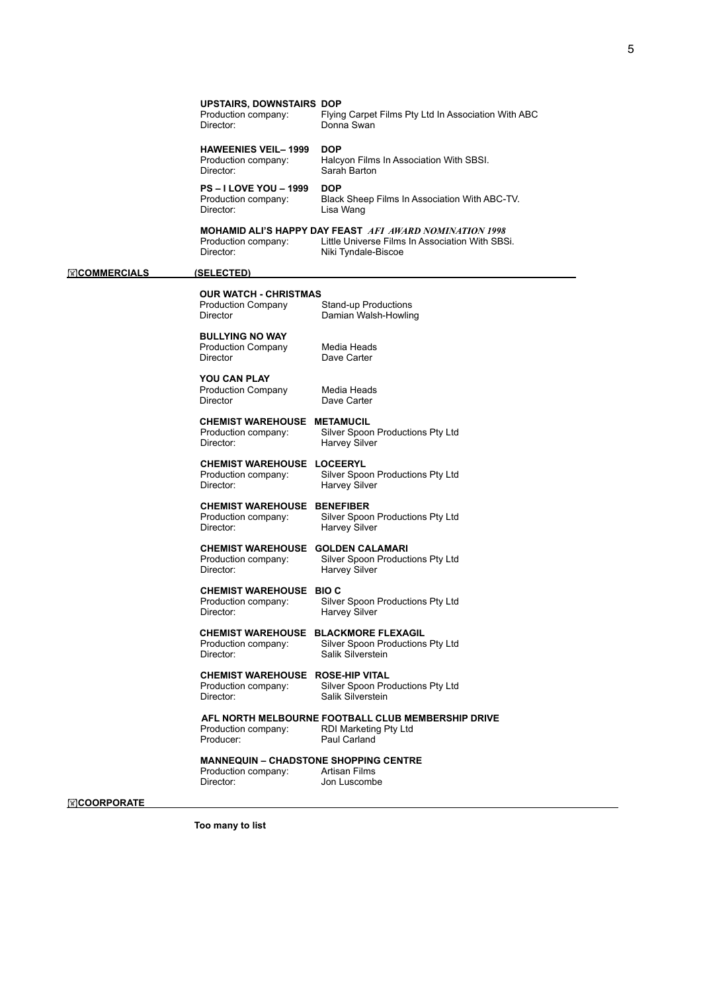$\overline{\phantom{a}}$ 

5

| <b>HAWEENIES VEIL- 1999</b><br><b>DOP</b><br>Halcyon Films In Association With SBSI.<br>Production company:<br>Director:<br>Sarah Barton<br><b>PS-I LOVE YOU-1999</b><br><b>DOP</b><br>Production company:<br>Black Sheep Films In Association With ABC-TV.<br>Director:<br>Lisa Wang<br>MOHAMID ALI'S HAPPY DAY FEAST AFI AWARD NOMINATION 1998<br>Little Universe Films In Association With SBSi.<br>Production company:<br>Director:<br>Niki Tyndale-Biscoe<br><b>EXCOMMERCIALS</b><br>(SELECTED)<br><b>OUR WATCH - CHRISTMAS</b><br>Production Company<br>Stand-up Productions<br>Director<br>Damian Walsh-Howling<br><b>BULLYING NO WAY</b><br><b>Production Company</b><br>Media Heads<br>Director<br>Dave Carter<br><b>YOU CAN PLAY</b><br><b>Production Company</b><br>Media Heads<br>Director<br>Dave Carter<br>CHEMIST WAREHOUSE METAMUCIL<br>Silver Spoon Productions Pty Ltd<br>Production company:<br>Director:<br>Harvey Silver<br><b>CHEMIST WAREHOUSE LOCEERYL</b><br>Production company:<br>Silver Spoon Productions Pty Ltd<br>Director:<br>Harvey Silver<br><b>CHEMIST WAREHOUSE BENEFIBER</b><br>Silver Spoon Productions Pty Ltd<br>Production company:<br>Director:<br><b>Harvey Silver</b><br>CHEMIST WAREHOUSE GOLDEN CALAMARI<br>Silver Spoon Productions Pty Ltd<br>Production company:<br>Director:<br><b>Harvey Silver</b><br><b>CHEMIST WAREHOUSE BIO C</b><br>Silver Spoon Productions Pty Ltd<br>Production company:<br>Director:<br>Harvey Silver<br>CHEMIST WAREHOUSE BLACKMORE FLEXAGIL<br>Silver Spoon Productions Pty Ltd<br>Production company:<br>Director:<br>Salik Silverstein<br><b>CHEMIST WAREHOUSE ROSE-HIP VITAL</b><br>Silver Spoon Productions Pty Ltd<br>Production company:<br>Salik Silverstein<br>Director:<br>AFL NORTH MELBOURNE FOOTBALL CLUB MEMBERSHIP DRIVE<br>Production company:<br>RDI Marketing Pty Ltd<br>Producer:<br>Paul Carland<br><b>MANNEQUIN - CHADSTONE SHOPPING CENTRE</b><br>Production company:<br>Artisan Films<br>Director:<br>Jon Luscombe | <b>UPSTAIRS, DOWNSTAIRS DOP</b><br>Production company:<br>Director: | Flying Carpet Films Pty Ltd In Association With ABC<br>Donna Swan |
|------------------------------------------------------------------------------------------------------------------------------------------------------------------------------------------------------------------------------------------------------------------------------------------------------------------------------------------------------------------------------------------------------------------------------------------------------------------------------------------------------------------------------------------------------------------------------------------------------------------------------------------------------------------------------------------------------------------------------------------------------------------------------------------------------------------------------------------------------------------------------------------------------------------------------------------------------------------------------------------------------------------------------------------------------------------------------------------------------------------------------------------------------------------------------------------------------------------------------------------------------------------------------------------------------------------------------------------------------------------------------------------------------------------------------------------------------------------------------------------------------------------------------------------------------------------------------------------------------------------------------------------------------------------------------------------------------------------------------------------------------------------------------------------------------------------------------------------------------------------------------------------------------------------------------------------------------------------------------------------------------------------------|---------------------------------------------------------------------|-------------------------------------------------------------------|
|                                                                                                                                                                                                                                                                                                                                                                                                                                                                                                                                                                                                                                                                                                                                                                                                                                                                                                                                                                                                                                                                                                                                                                                                                                                                                                                                                                                                                                                                                                                                                                                                                                                                                                                                                                                                                                                                                                                                                                                                                        |                                                                     |                                                                   |
|                                                                                                                                                                                                                                                                                                                                                                                                                                                                                                                                                                                                                                                                                                                                                                                                                                                                                                                                                                                                                                                                                                                                                                                                                                                                                                                                                                                                                                                                                                                                                                                                                                                                                                                                                                                                                                                                                                                                                                                                                        |                                                                     |                                                                   |
|                                                                                                                                                                                                                                                                                                                                                                                                                                                                                                                                                                                                                                                                                                                                                                                                                                                                                                                                                                                                                                                                                                                                                                                                                                                                                                                                                                                                                                                                                                                                                                                                                                                                                                                                                                                                                                                                                                                                                                                                                        |                                                                     |                                                                   |
|                                                                                                                                                                                                                                                                                                                                                                                                                                                                                                                                                                                                                                                                                                                                                                                                                                                                                                                                                                                                                                                                                                                                                                                                                                                                                                                                                                                                                                                                                                                                                                                                                                                                                                                                                                                                                                                                                                                                                                                                                        |                                                                     |                                                                   |
|                                                                                                                                                                                                                                                                                                                                                                                                                                                                                                                                                                                                                                                                                                                                                                                                                                                                                                                                                                                                                                                                                                                                                                                                                                                                                                                                                                                                                                                                                                                                                                                                                                                                                                                                                                                                                                                                                                                                                                                                                        |                                                                     |                                                                   |
|                                                                                                                                                                                                                                                                                                                                                                                                                                                                                                                                                                                                                                                                                                                                                                                                                                                                                                                                                                                                                                                                                                                                                                                                                                                                                                                                                                                                                                                                                                                                                                                                                                                                                                                                                                                                                                                                                                                                                                                                                        |                                                                     |                                                                   |
|                                                                                                                                                                                                                                                                                                                                                                                                                                                                                                                                                                                                                                                                                                                                                                                                                                                                                                                                                                                                                                                                                                                                                                                                                                                                                                                                                                                                                                                                                                                                                                                                                                                                                                                                                                                                                                                                                                                                                                                                                        |                                                                     |                                                                   |
|                                                                                                                                                                                                                                                                                                                                                                                                                                                                                                                                                                                                                                                                                                                                                                                                                                                                                                                                                                                                                                                                                                                                                                                                                                                                                                                                                                                                                                                                                                                                                                                                                                                                                                                                                                                                                                                                                                                                                                                                                        |                                                                     |                                                                   |
|                                                                                                                                                                                                                                                                                                                                                                                                                                                                                                                                                                                                                                                                                                                                                                                                                                                                                                                                                                                                                                                                                                                                                                                                                                                                                                                                                                                                                                                                                                                                                                                                                                                                                                                                                                                                                                                                                                                                                                                                                        |                                                                     |                                                                   |
|                                                                                                                                                                                                                                                                                                                                                                                                                                                                                                                                                                                                                                                                                                                                                                                                                                                                                                                                                                                                                                                                                                                                                                                                                                                                                                                                                                                                                                                                                                                                                                                                                                                                                                                                                                                                                                                                                                                                                                                                                        |                                                                     |                                                                   |
|                                                                                                                                                                                                                                                                                                                                                                                                                                                                                                                                                                                                                                                                                                                                                                                                                                                                                                                                                                                                                                                                                                                                                                                                                                                                                                                                                                                                                                                                                                                                                                                                                                                                                                                                                                                                                                                                                                                                                                                                                        |                                                                     |                                                                   |
|                                                                                                                                                                                                                                                                                                                                                                                                                                                                                                                                                                                                                                                                                                                                                                                                                                                                                                                                                                                                                                                                                                                                                                                                                                                                                                                                                                                                                                                                                                                                                                                                                                                                                                                                                                                                                                                                                                                                                                                                                        |                                                                     |                                                                   |
|                                                                                                                                                                                                                                                                                                                                                                                                                                                                                                                                                                                                                                                                                                                                                                                                                                                                                                                                                                                                                                                                                                                                                                                                                                                                                                                                                                                                                                                                                                                                                                                                                                                                                                                                                                                                                                                                                                                                                                                                                        |                                                                     |                                                                   |
|                                                                                                                                                                                                                                                                                                                                                                                                                                                                                                                                                                                                                                                                                                                                                                                                                                                                                                                                                                                                                                                                                                                                                                                                                                                                                                                                                                                                                                                                                                                                                                                                                                                                                                                                                                                                                                                                                                                                                                                                                        |                                                                     |                                                                   |
|                                                                                                                                                                                                                                                                                                                                                                                                                                                                                                                                                                                                                                                                                                                                                                                                                                                                                                                                                                                                                                                                                                                                                                                                                                                                                                                                                                                                                                                                                                                                                                                                                                                                                                                                                                                                                                                                                                                                                                                                                        |                                                                     |                                                                   |
|                                                                                                                                                                                                                                                                                                                                                                                                                                                                                                                                                                                                                                                                                                                                                                                                                                                                                                                                                                                                                                                                                                                                                                                                                                                                                                                                                                                                                                                                                                                                                                                                                                                                                                                                                                                                                                                                                                                                                                                                                        |                                                                     |                                                                   |

## !**COORPORATE**

 **Too many to list**